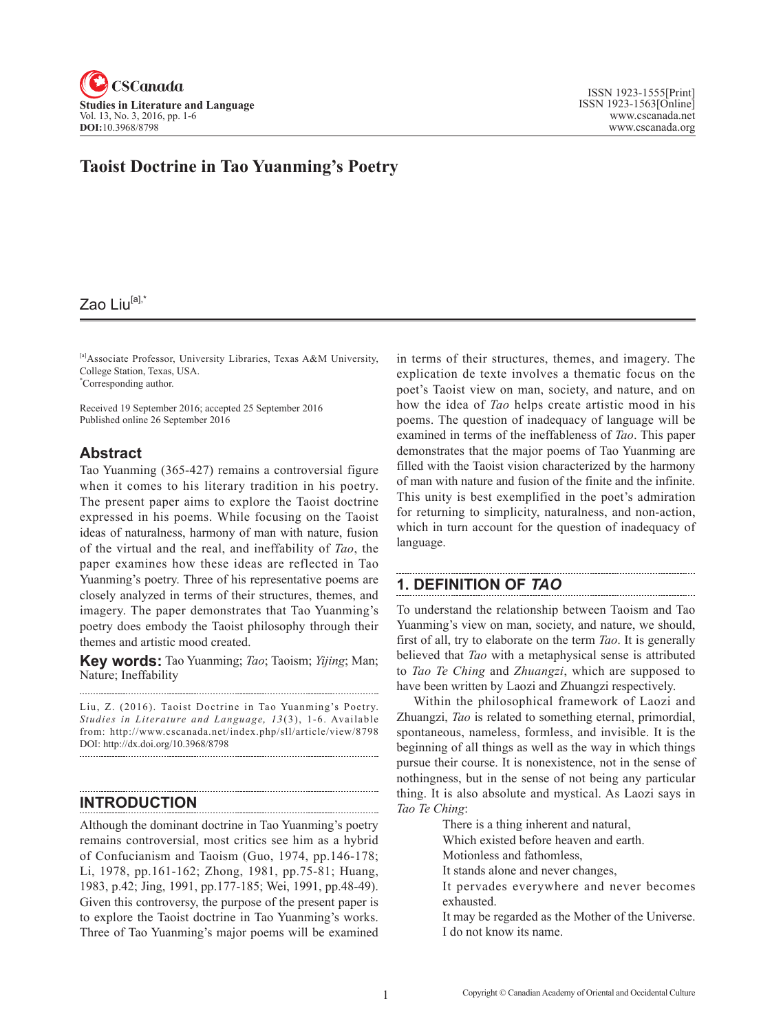

# **Taoist Doctrine in Tao Yuanming's Poetry**

# Zao Liu<sup>[a],\*</sup>

[a]Associate Professor, University Libraries, Texas A&M University, College Station, Texas, USA. \* Corresponding author.

Received 19 September 2016; accepted 25 September 2016 Published online 26 September 2016

### **Abstract**

Tao Yuanming (365-427) remains a controversial figure when it comes to his literary tradition in his poetry. The present paper aims to explore the Taoist doctrine expressed in his poems. While focusing on the Taoist ideas of naturalness, harmony of man with nature, fusion of the virtual and the real, and ineffability of *Tao*, the paper examines how these ideas are reflected in Tao Yuanming's poetry. Three of his representative poems are closely analyzed in terms of their structures, themes, and imagery. The paper demonstrates that Tao Yuanming's poetry does embody the Taoist philosophy through their themes and artistic mood created.

**Key words:** Tao Yuanming; *Tao*; Taoism; *Yijing*; Man; Nature; Ineffability

Liu, Z. (2016). Taoist Doctrine in Tao Yuanming's Poetry. Studies in Literature and Language, 13(3), 1-6. Available from: http://www.cscanada.net/index.php/sll/article/view/8798 DOI: http://dx.doi.org/10.3968/8798

### **INTRODUCTION**

Although the dominant doctrine in Tao Yuanming's poetry remains controversial, most critics see him as a hybrid of Confucianism and Taoism (Guo, 1974, pp.146-178; Li, 1978, pp.161-162; Zhong, 1981, pp.75-81; Huang, 1983, p.42; Jing, 1991, pp.177-185; Wei, 1991, pp.48-49). Given this controversy, the purpose of the present paper is to explore the Taoist doctrine in Tao Yuanming's works. Three of Tao Yuanming's major poems will be examined in terms of their structures, themes, and imagery. The explication de texte involves a thematic focus on the poet's Taoist view on man, society, and nature, and on how the idea of *Tao* helps create artistic mood in his poems. The question of inadequacy of language will be examined in terms of the ineffableness of *Tao*. This paper demonstrates that the major poems of Tao Yuanming are filled with the Taoist vision characterized by the harmony of man with nature and fusion of the finite and the infinite. This unity is best exemplified in the poet's admiration for returning to simplicity, naturalness, and non-action, which in turn account for the question of inadequacy of language.

## **1. DEFINITION OF** *TAO*

To understand the relationship between Taoism and Tao Yuanming's view on man, society, and nature, we should, first of all, try to elaborate on the term *Tao*. It is generally believed that *Tao* with a metaphysical sense is attributed to *Tao Te Ching* and *Zhuangzi*, which are supposed to have been written by Laozi and Zhuangzi respectively.

Within the philosophical framework of Laozi and Zhuangzi, *Tao* is related to something eternal, primordial, spontaneous, nameless, formless, and invisible. It is the beginning of all things as well as the way in which things pursue their course. It is nonexistence, not in the sense of nothingness, but in the sense of not being any particular thing. It is also absolute and mystical. As Laozi says in *Tao Te Ching*:

There is a thing inherent and natural,

Which existed before heaven and earth.

Motionless and fathomless,

It stands alone and never changes,

- It pervades everywhere and never becomes exhausted.
- It may be regarded as the Mother of the Universe. I do not know its name.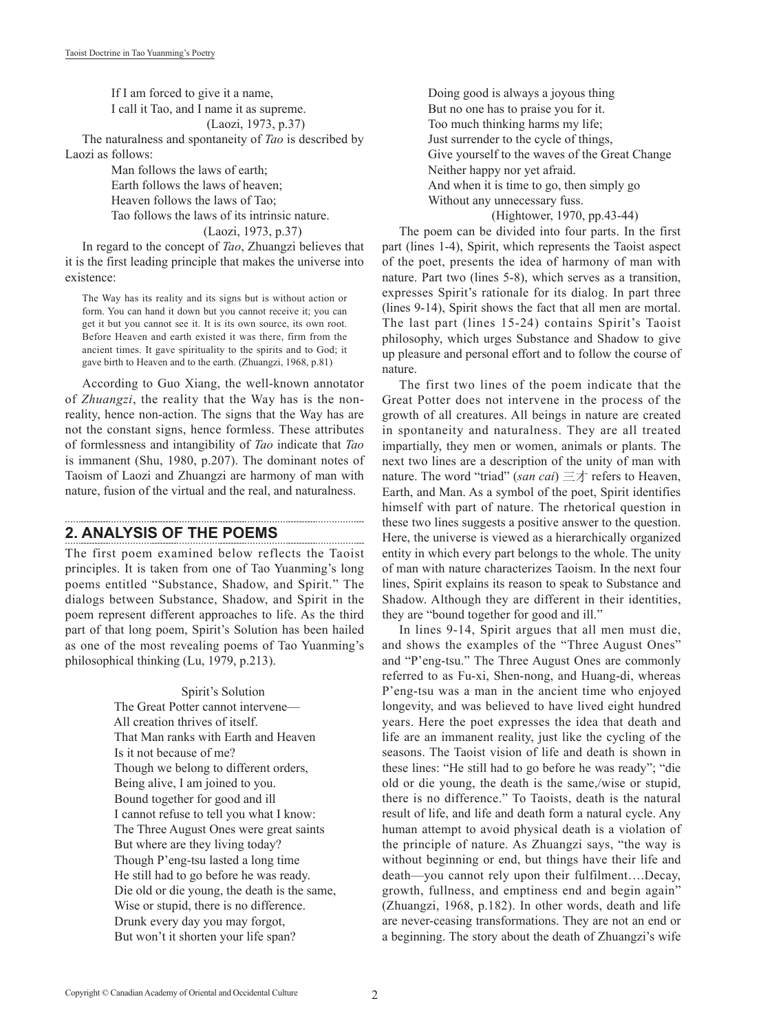If I am forced to give it a name, I call it Tao, and I name it as supreme.

(Laozi, 1973, p.37)

The naturalness and spontaneity of *Tao* is described by Laozi as follows:

> Man follows the laws of earth; Earth follows the laws of heaven; Heaven follows the laws of Tao; Tao follows the laws of its intrinsic nature.

(Laozi, 1973, p.37)

In regard to the concept of *Tao*, Zhuangzi believes that it is the first leading principle that makes the universe into existence:

The Way has its reality and its signs but is without action or form. You can hand it down but you cannot receive it; you can get it but you cannot see it. It is its own source, its own root. Before Heaven and earth existed it was there, firm from the ancient times. It gave spirituality to the spirits and to God; it gave birth to Heaven and to the earth. (Zhuangzi, 1968, p.81)

According to Guo Xiang, the well-known annotator of *Zhuangzi*, the reality that the Way has is the nonreality, hence non-action. The signs that the Way has are not the constant signs, hence formless. These attributes of formlessness and intangibility of *Tao* indicate that *Tao* is immanent (Shu, 1980, p.207). The dominant notes of Taoism of Laozi and Zhuangzi are harmony of man with nature, fusion of the virtual and the real, and naturalness.

### **2. ANALYSIS OF THE POEMS**

The first poem examined below reflects the Taoist principles. It is taken from one of Tao Yuanming's long poems entitled "Substance, Shadow, and Spirit." The dialogs between Substance, Shadow, and Spirit in the poem represent different approaches to life. As the third part of that long poem, Spirit's Solution has been hailed as one of the most revealing poems of Tao Yuanming's philosophical thinking (Lu, 1979, p.213).

# Spirit's Solution The Great Potter cannot intervene—

 All creation thrives of itself. That Man ranks with Earth and Heaven Is it not because of me? Though we belong to different orders, Being alive, I am joined to you. Bound together for good and ill I cannot refuse to tell you what I know: The Three August Ones were great saints But where are they living today? Though P'eng-tsu lasted a long time He still had to go before he was ready. Die old or die young, the death is the same, Wise or stupid, there is no difference. Drunk every day you may forgot, But won't it shorten your life span?

Doing good is always a joyous thing But no one has to praise you for it. Too much thinking harms my life; Just surrender to the cycle of things, Give yourself to the waves of the Great Change Neither happy nor yet afraid. And when it is time to go, then simply go Without any unnecessary fuss.

### (Hightower, 1970, pp.43-44)

The poem can be divided into four parts. In the first part (lines 1-4), Spirit, which represents the Taoist aspect of the poet, presents the idea of harmony of man with nature. Part two (lines 5-8), which serves as a transition, expresses Spirit's rationale for its dialog. In part three (lines 9-14), Spirit shows the fact that all men are mortal. The last part (lines 15-24) contains Spirit's Taoist philosophy, which urges Substance and Shadow to give up pleasure and personal effort and to follow the course of nature.

The first two lines of the poem indicate that the Great Potter does not intervene in the process of the growth of all creatures. All beings in nature are created in spontaneity and naturalness. They are all treated impartially, they men or women, animals or plants. The next two lines are a description of the unity of man with nature. The word "triad" (*san cai*) 三才 refers to Heaven, Earth, and Man. As a symbol of the poet, Spirit identifies himself with part of nature. The rhetorical question in these two lines suggests a positive answer to the question. Here, the universe is viewed as a hierarchically organized entity in which every part belongs to the whole. The unity of man with nature characterizes Taoism. In the next four lines, Spirit explains its reason to speak to Substance and Shadow. Although they are different in their identities, they are "bound together for good and ill."

In lines 9-14, Spirit argues that all men must die, and shows the examples of the "Three August Ones" and "P'eng-tsu." The Three August Ones are commonly referred to as Fu-xi, Shen-nong, and Huang-di, whereas P'eng-tsu was a man in the ancient time who enjoyed longevity, and was believed to have lived eight hundred years. Here the poet expresses the idea that death and life are an immanent reality, just like the cycling of the seasons. The Taoist vision of life and death is shown in these lines: "He still had to go before he was ready"; "die old or die young, the death is the same,/wise or stupid, there is no difference." To Taoists, death is the natural result of life, and life and death form a natural cycle. Any human attempt to avoid physical death is a violation of the principle of nature. As Zhuangzi says, "the way is without beginning or end, but things have their life and death—you cannot rely upon their fulfilment….Decay, growth, fullness, and emptiness end and begin again" (Zhuangzi, 1968, p.182). In other words, death and life are never-ceasing transformations. They are not an end or a beginning. The story about the death of Zhuangzi's wife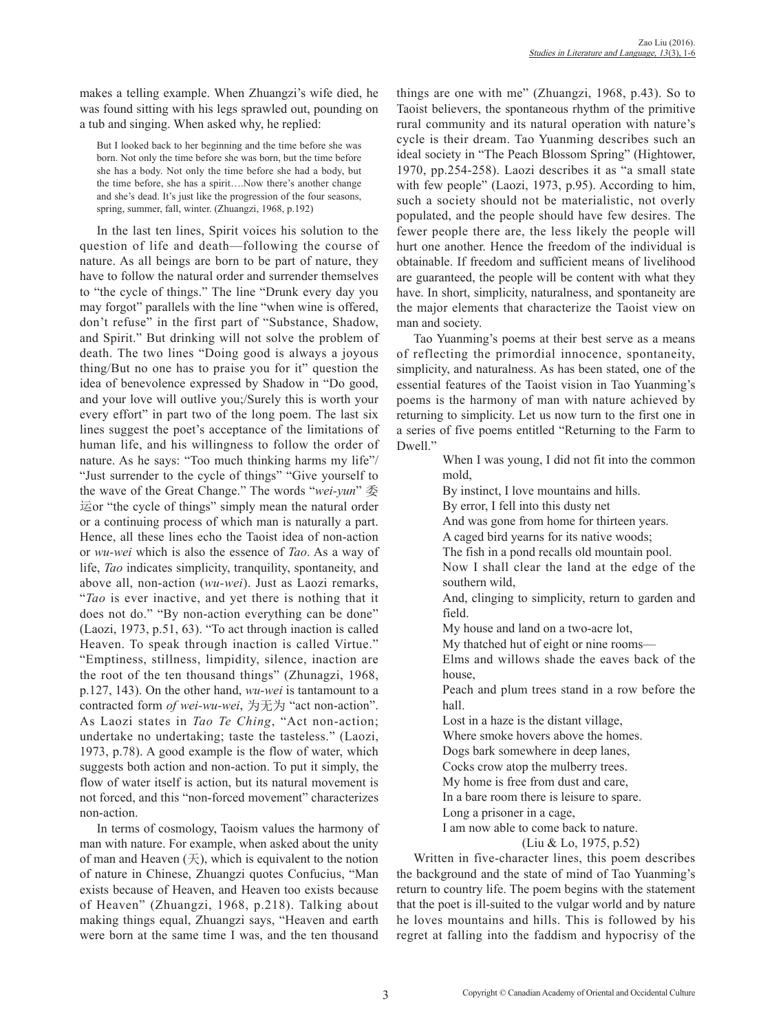makes a telling example. When Zhuangzi's wife died, he was found sitting with his legs sprawled out, pounding on a tub and singing. When asked why, he replied:

But I looked back to her beginning and the time before she was born. Not only the time before she was born, but the time before she has a body. Not only the time before she had a body, but the time before, she has a spirit….Now there's another change and she's dead. It's just like the progression of the four seasons, spring, summer, fall, winter. (Zhuangzi, 1968, p.192)

In the last ten lines, Spirit voices his solution to the question of life and death—following the course of nature. As all beings are born to be part of nature, they have to follow the natural order and surrender themselves to "the cycle of things." The line "Drunk every day you may forgot" parallels with the line "when wine is offered, don't refuse" in the first part of "Substance, Shadow, and Spirit." But drinking will not solve the problem of death. The two lines "Doing good is always a joyous thing/But no one has to praise you for it" question the idea of benevolence expressed by Shadow in "Do good, and your love will outlive you;/Surely this is worth your every effort" in part two of the long poem. The last six lines suggest the poet's acceptance of the limitations of human life, and his willingness to follow the order of nature. As he says: "Too much thinking harms my life"/ "Just surrender to the cycle of things" "Give yourself to the wave of the Great Change." The words "*wei-yun*" 委 运or "the cycle of things" simply mean the natural order or a continuing process of which man is naturally a part. Hence, all these lines echo the Taoist idea of non-action or *wu-wei* which is also the essence of *Tao*. As a way of life, *Tao* indicates simplicity, tranquility, spontaneity, and above all, non-action (*wu-wei*). Just as Laozi remarks, "*Tao* is ever inactive, and yet there is nothing that it does not do." "By non-action everything can be done" (Laozi, 1973, p.51, 63). "To act through inaction is called Heaven. To speak through inaction is called Virtue." "Emptiness, stillness, limpidity, silence, inaction are the root of the ten thousand things" (Zhunagzi, 1968, p.127, 143). On the other hand, *wu-wei* is tantamount to a contracted form *of wei-wu-wei*, 为无为 "act non-action". As Laozi states in *Tao Te Ching*, "Act non-action; undertake no undertaking; taste the tasteless." (Laozi, 1973, p.78). A good example is the flow of water, which suggests both action and non-action. To put it simply, the flow of water itself is action, but its natural movement is not forced, and this "non-forced movement" characterizes non-action.

In terms of cosmology, Taoism values the harmony of man with nature. For example, when asked about the unity of man and Heaven  $(\pm)$ , which is equivalent to the notion of nature in Chinese, Zhuangzi quotes Confucius, "Man exists because of Heaven, and Heaven too exists because of Heaven" (Zhuangzi, 1968, p.218). Talking about making things equal, Zhuangzi says, "Heaven and earth were born at the same time I was, and the ten thousand

things are one with me" (Zhuangzi, 1968, p.43). So to Taoist believers, the spontaneous rhythm of the primitive rural community and its natural operation with nature's cycle is their dream. Tao Yuanming describes such an ideal society in "The Peach Blossom Spring" (Hightower, 1970, pp.254-258). Laozi describes it as "a small state with few people" (Laozi, 1973, p.95). According to him, such a society should not be materialistic, not overly populated, and the people should have few desires. The fewer people there are, the less likely the people will hurt one another. Hence the freedom of the individual is obtainable. If freedom and sufficient means of livelihood are guaranteed, the people will be content with what they have. In short, simplicity, naturalness, and spontaneity are the major elements that characterize the Taoist view on man and society.

Tao Yuanming's poems at their best serve as a means of reflecting the primordial innocence, spontaneity, simplicity, and naturalness. As has been stated, one of the essential features of the Taoist vision in Tao Yuanming's poems is the harmony of man with nature achieved by returning to simplicity. Let us now turn to the first one in a series of five poems entitled "Returning to the Farm to Dwell."

> When I was young, I did not fit into the common mold,

By instinct, I love mountains and hills.

By error, I fell into this dusty net

And was gone from home for thirteen years.

A caged bird yearns for its native woods;

The fish in a pond recalls old mountain pool.

 Now I shall clear the land at the edge of the southern wild,

 And, clinging to simplicity, return to garden and field.

My house and land on a two-acre lot,

My thatched hut of eight or nine rooms—

 Elms and willows shade the eaves back of the house,

 Peach and plum trees stand in a row before the hall.

Lost in a haze is the distant village,

Where smoke hovers above the homes.

Dogs bark somewhere in deep lanes,

Cocks crow atop the mulberry trees.

My home is free from dust and care,

In a bare room there is leisure to spare.

Long a prisoner in a cage,

I am now able to come back to nature.

(Liu & Lo, 1975, p.52)

Written in five-character lines, this poem describes the background and the state of mind of Tao Yuanming's return to country life. The poem begins with the statement that the poet is ill-suited to the vulgar world and by nature he loves mountains and hills. This is followed by his regret at falling into the faddism and hypocrisy of the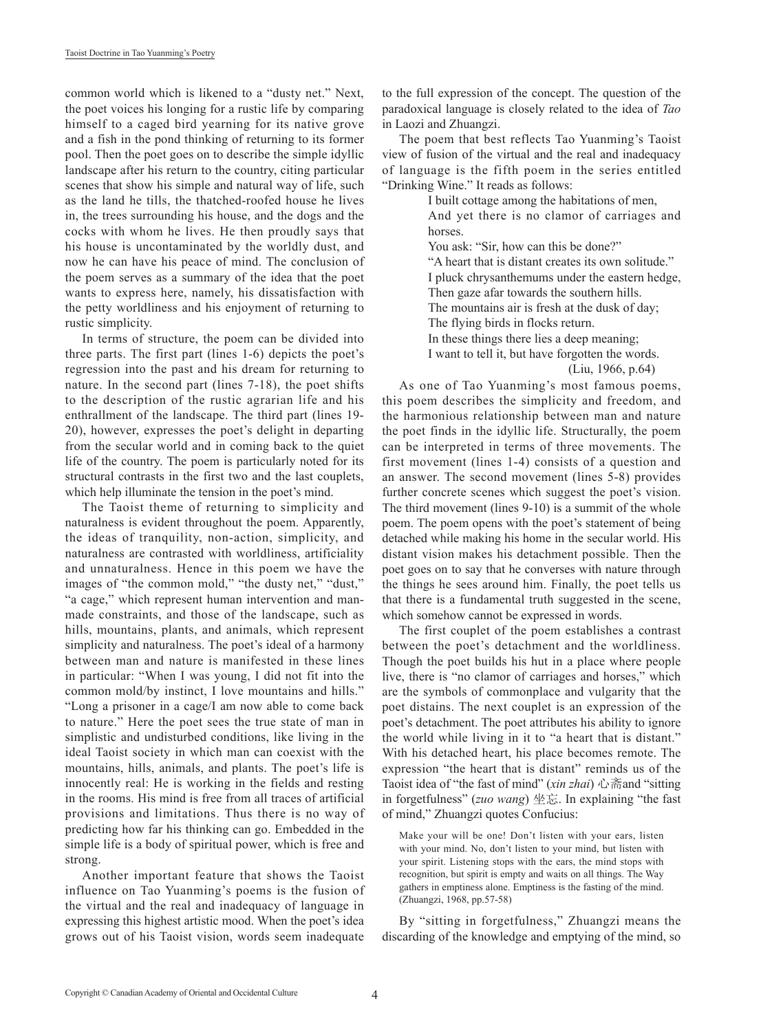common world which is likened to a "dusty net." Next, the poet voices his longing for a rustic life by comparing himself to a caged bird yearning for its native grove and a fish in the pond thinking of returning to its former pool. Then the poet goes on to describe the simple idyllic landscape after his return to the country, citing particular scenes that show his simple and natural way of life, such as the land he tills, the thatched-roofed house he lives in, the trees surrounding his house, and the dogs and the cocks with whom he lives. He then proudly says that his house is uncontaminated by the worldly dust, and now he can have his peace of mind. The conclusion of the poem serves as a summary of the idea that the poet wants to express here, namely, his dissatisfaction with the petty worldliness and his enjoyment of returning to rustic simplicity.

In terms of structure, the poem can be divided into three parts. The first part (lines 1-6) depicts the poet's regression into the past and his dream for returning to nature. In the second part (lines 7-18), the poet shifts to the description of the rustic agrarian life and his enthrallment of the landscape. The third part (lines 19- 20), however, expresses the poet's delight in departing from the secular world and in coming back to the quiet life of the country. The poem is particularly noted for its structural contrasts in the first two and the last couplets, which help illuminate the tension in the poet's mind.

The Taoist theme of returning to simplicity and naturalness is evident throughout the poem. Apparently, the ideas of tranquility, non-action, simplicity, and naturalness are contrasted with worldliness, artificiality and unnaturalness. Hence in this poem we have the images of "the common mold," "the dusty net," "dust," "a cage," which represent human intervention and manmade constraints, and those of the landscape, such as hills, mountains, plants, and animals, which represent simplicity and naturalness. The poet's ideal of a harmony between man and nature is manifested in these lines in particular: "When I was young, I did not fit into the common mold/by instinct, I love mountains and hills." "Long a prisoner in a cage/I am now able to come back to nature." Here the poet sees the true state of man in simplistic and undisturbed conditions, like living in the ideal Taoist society in which man can coexist with the mountains, hills, animals, and plants. The poet's life is innocently real: He is working in the fields and resting in the rooms. His mind is free from all traces of artificial provisions and limitations. Thus there is no way of predicting how far his thinking can go. Embedded in the simple life is a body of spiritual power, which is free and strong.

Another important feature that shows the Taoist influence on Tao Yuanming's poems is the fusion of the virtual and the real and inadequacy of language in expressing this highest artistic mood. When the poet's idea grows out of his Taoist vision, words seem inadequate

to the full expression of the concept. The question of the paradoxical language is closely related to the idea of *Tao* in Laozi and Zhuangzi.

The poem that best reflects Tao Yuanming's Taoist view of fusion of the virtual and the real and inadequacy of language is the fifth poem in the series entitled "Drinking Wine." It reads as follows:

> I built cottage among the habitations of men, And yet there is no clamor of carriages and horses. You ask: "Sir, how can this be done?" "A heart that is distant creates its own solitude."

> I pluck chrysanthemums under the eastern hedge, Then gaze afar towards the southern hills. The mountains air is fresh at the dusk of day; The flying birds in flocks return. In these things there lies a deep meaning; I want to tell it, but have forgotten the words.

> > (Liu, 1966, p.64)

As one of Tao Yuanming's most famous poems, this poem describes the simplicity and freedom, and the harmonious relationship between man and nature the poet finds in the idyllic life. Structurally, the poem can be interpreted in terms of three movements. The first movement (lines 1-4) consists of a question and an answer. The second movement (lines 5-8) provides further concrete scenes which suggest the poet's vision. The third movement (lines 9-10) is a summit of the whole poem. The poem opens with the poet's statement of being detached while making his home in the secular world. His distant vision makes his detachment possible. Then the poet goes on to say that he converses with nature through the things he sees around him. Finally, the poet tells us that there is a fundamental truth suggested in the scene, which somehow cannot be expressed in words.

The first couplet of the poem establishes a contrast between the poet's detachment and the worldliness. Though the poet builds his hut in a place where people live, there is "no clamor of carriages and horses," which are the symbols of commonplace and vulgarity that the poet distains. The next couplet is an expression of the poet's detachment. The poet attributes his ability to ignore the world while living in it to "a heart that is distant." With his detached heart, his place becomes remote. The expression "the heart that is distant" reminds us of the Taoist idea of "the fast of mind" (*xin zhai*) 心斋and "sitting in forgetfulness" (*zuo wang*) 坐忘. In explaining "the fast of mind," Zhuangzi quotes Confucius:

Make your will be one! Don't listen with your ears, listen with your mind. No, don't listen to your mind, but listen with your spirit. Listening stops with the ears, the mind stops with recognition, but spirit is empty and waits on all things. The Way gathers in emptiness alone. Emptiness is the fasting of the mind. (Zhuangzi, 1968, pp.57-58)

By "sitting in forgetfulness," Zhuangzi means the discarding of the knowledge and emptying of the mind, so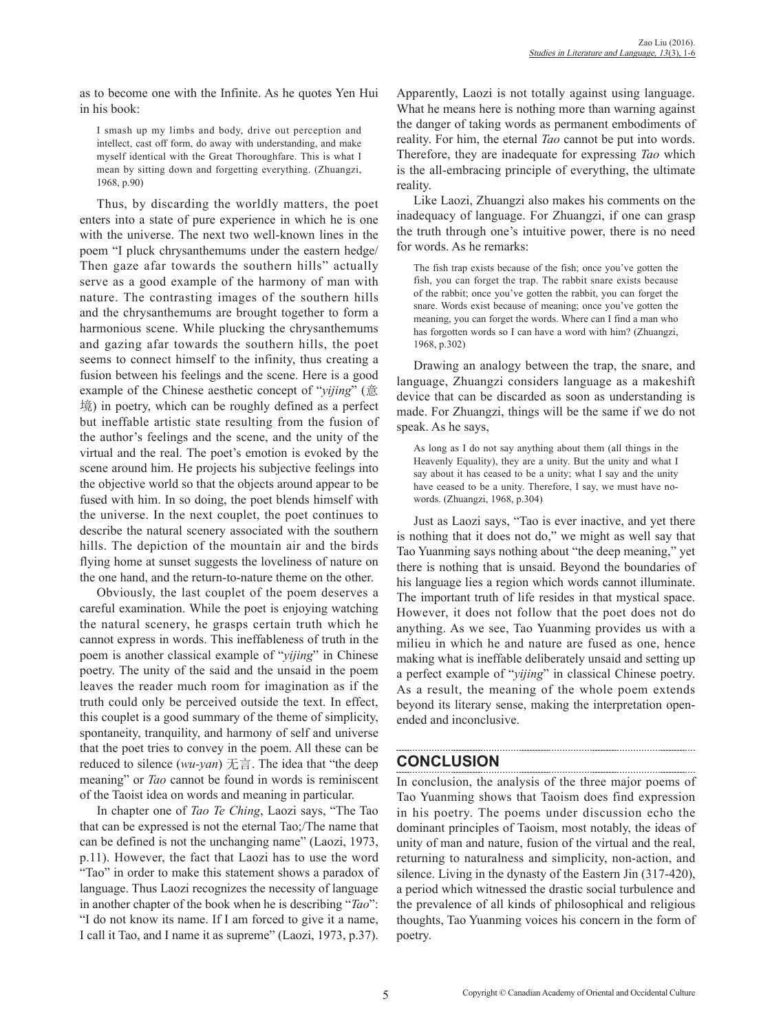as to become one with the Infinite. As he quotes Yen Hui in his book:

I smash up my limbs and body, drive out perception and intellect, cast off form, do away with understanding, and make myself identical with the Great Thoroughfare. This is what I mean by sitting down and forgetting everything. (Zhuangzi, 1968, p.90)

Thus, by discarding the worldly matters, the poet enters into a state of pure experience in which he is one with the universe. The next two well-known lines in the poem "I pluck chrysanthemums under the eastern hedge/ Then gaze afar towards the southern hills" actually serve as a good example of the harmony of man with nature. The contrasting images of the southern hills and the chrysanthemums are brought together to form a harmonious scene. While plucking the chrysanthemums and gazing afar towards the southern hills, the poet seems to connect himself to the infinity, thus creating a fusion between his feelings and the scene. Here is a good example of the Chinese aesthetic concept of "*yijing*" (意 境) in poetry, which can be roughly defined as a perfect but ineffable artistic state resulting from the fusion of the author's feelings and the scene, and the unity of the virtual and the real. The poet's emotion is evoked by the scene around him. He projects his subjective feelings into the objective world so that the objects around appear to be fused with him. In so doing, the poet blends himself with the universe. In the next couplet, the poet continues to describe the natural scenery associated with the southern hills. The depiction of the mountain air and the birds flying home at sunset suggests the loveliness of nature on the one hand, and the return-to-nature theme on the other.

Obviously, the last couplet of the poem deserves a careful examination. While the poet is enjoying watching the natural scenery, he grasps certain truth which he cannot express in words. This ineffableness of truth in the poem is another classical example of "*yijing*" in Chinese poetry. The unity of the said and the unsaid in the poem leaves the reader much room for imagination as if the truth could only be perceived outside the text. In effect, this couplet is a good summary of the theme of simplicity, spontaneity, tranquility, and harmony of self and universe that the poet tries to convey in the poem. All these can be reduced to silence (*wu-yan*) 无言. The idea that "the deep meaning" or *Tao* cannot be found in words is reminiscent of the Taoist idea on words and meaning in particular.

In chapter one of *Tao Te Ching*, Laozi says, "The Tao that can be expressed is not the eternal Tao;/The name that can be defined is not the unchanging name" (Laozi, 1973, p.11). However, the fact that Laozi has to use the word "Tao" in order to make this statement shows a paradox of language. Thus Laozi recognizes the necessity of language in another chapter of the book when he is describing "*Tao*": "I do not know its name. If I am forced to give it a name, I call it Tao, and I name it as supreme" (Laozi, 1973, p.37).

Apparently, Laozi is not totally against using language. What he means here is nothing more than warning against the danger of taking words as permanent embodiments of reality. For him, the eternal *Tao* cannot be put into words. Therefore, they are inadequate for expressing *Tao* which is the all-embracing principle of everything, the ultimate reality.

Like Laozi, Zhuangzi also makes his comments on the inadequacy of language. For Zhuangzi, if one can grasp the truth through one's intuitive power, there is no need for words. As he remarks:

The fish trap exists because of the fish; once you've gotten the fish, you can forget the trap. The rabbit snare exists because of the rabbit; once you've gotten the rabbit, you can forget the snare. Words exist because of meaning; once you've gotten the meaning, you can forget the words. Where can I find a man who has forgotten words so I can have a word with him? (Zhuangzi, 1968, p.302)

Drawing an analogy between the trap, the snare, and language, Zhuangzi considers language as a makeshift device that can be discarded as soon as understanding is made. For Zhuangzi, things will be the same if we do not speak. As he says,

As long as I do not say anything about them (all things in the Heavenly Equality), they are a unity. But the unity and what I say about it has ceased to be a unity; what I say and the unity have ceased to be a unity. Therefore, I say, we must have nowords. (Zhuangzi, 1968, p.304)

Just as Laozi says, "Tao is ever inactive, and yet there is nothing that it does not do," we might as well say that Tao Yuanming says nothing about "the deep meaning," yet there is nothing that is unsaid. Beyond the boundaries of his language lies a region which words cannot illuminate. The important truth of life resides in that mystical space. However, it does not follow that the poet does not do anything. As we see, Tao Yuanming provides us with a milieu in which he and nature are fused as one, hence making what is ineffable deliberately unsaid and setting up a perfect example of "*yijing*" in classical Chinese poetry. As a result, the meaning of the whole poem extends beyond its literary sense, making the interpretation openended and inconclusive.

## **CONCLUSION**

In conclusion, the analysis of the three major poems of Tao Yuanming shows that Taoism does find expression in his poetry. The poems under discussion echo the dominant principles of Taoism, most notably, the ideas of unity of man and nature, fusion of the virtual and the real, returning to naturalness and simplicity, non-action, and silence. Living in the dynasty of the Eastern Jin (317-420), a period which witnessed the drastic social turbulence and the prevalence of all kinds of philosophical and religious thoughts, Tao Yuanming voices his concern in the form of poetry.